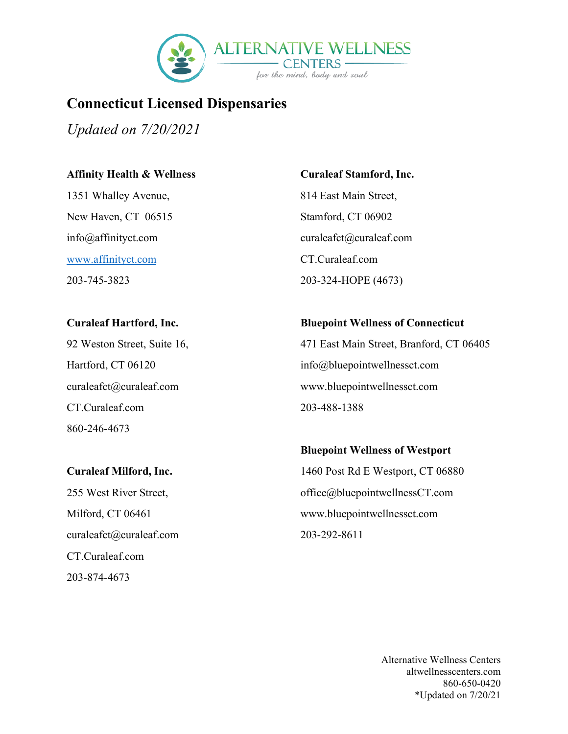

## **Connecticut Licensed Dispensaries**

*Updated on 7/20/2021*

#### **Affinity Health & Wellness**

1351 Whalley Avenue, New Haven, CT 06515 info@affinityct.com [www.affinityct.com](http://www.affinityct.com/) 203-745-3823

#### **Curaleaf Hartford, Inc.**

92 Weston Street, Suite 16, Hartford, CT 06120 curaleafct@curaleaf.com CT.Curaleaf.com 860-246-4673

#### **Curaleaf Milford, Inc.**

255 West River Street, Milford, CT 06461 curaleafct@curaleaf.com CT.Curaleaf.com 203-874-4673

## **Curaleaf Stamford, Inc.**

814 East Main Street, Stamford, CT 06902 curaleafct@curaleaf.com CT.Curaleaf.com 203-324-HOPE (4673)

#### **Bluepoint Wellness of Connecticut**

471 East Main Street, Branford, CT 06405 info@bluepointwellnessct.com www.bluepointwellnessct.com 203-488-1388

### **Bluepoint Wellness of Westport**

1460 Post Rd E Westport, CT 06880 office@bluepointwellnessCT.com www.bluepointwellnessct.com 203-292-8611

> Alternative Wellness Centers altwellnesscenters.com 860-650-0420 \*Updated on 7/20/21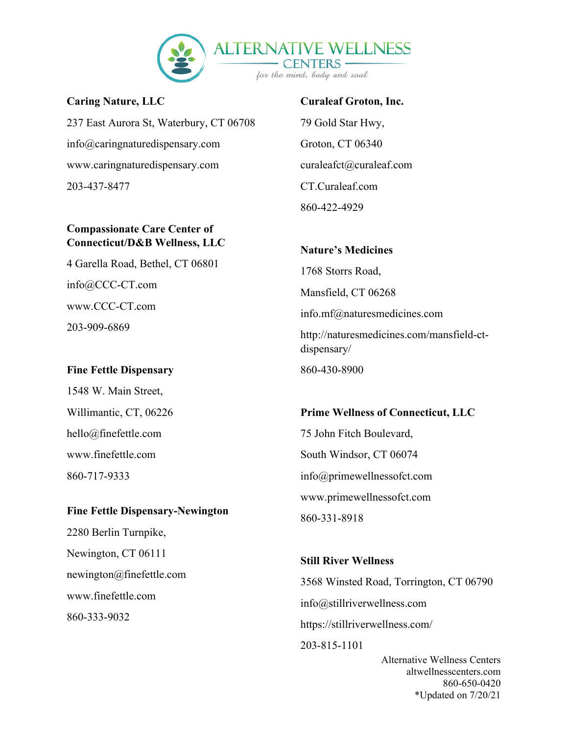

**Caring Nature, LLC**  237 East Aurora St, Waterbury, CT 06708 info@caringnaturedispensary.com www.caringnaturedispensary.com 203-437-8477

## **Compassionate Care Center of Connecticut/D&B Wellness, LLC**

4 Garella Road, Bethel, CT 06801 info@CCC-CT.com www.CCC-CT.com 203-909-6869

## **Fine Fettle Dispensary**

1548 W. Main Street, Willimantic, CT, 06226 hello@finefettle.com www.finefettle.com 860-717-9333

### **Fine Fettle Dispensary-Newington**

2280 Berlin Turnpike, Newington, CT 06111 newington@finefettle.com www.finefettle.com 860-333-9032

#### **Curaleaf Groton, Inc.**

79 Gold Star Hwy, Groton, CT 06340 curaleafct@curaleaf.com CT.Curaleaf.com 860-422-4929

# **Nature's Medicines** 1768 Storrs Road, Mansfield, CT 06268 info.mf@naturesmedicines.com http://naturesmedicines.com/mansfield-ctdispensary/

860-430-8900

## **Prime Wellness of Connecticut, LLC** 75 John Fitch Boulevard, South Windsor, CT 06074 info@primewellnessofct.com www.primewellnessofct.com 860-331-8918

## **Still River Wellness**

3568 Winsted Road, Torrington, CT 06790 info@stillriverwellness.com https://stillriverwellness.com/ 203-815-1101

> Alternative Wellness Centers altwellnesscenters.com 860-650-0420 \*Updated on 7/20/21